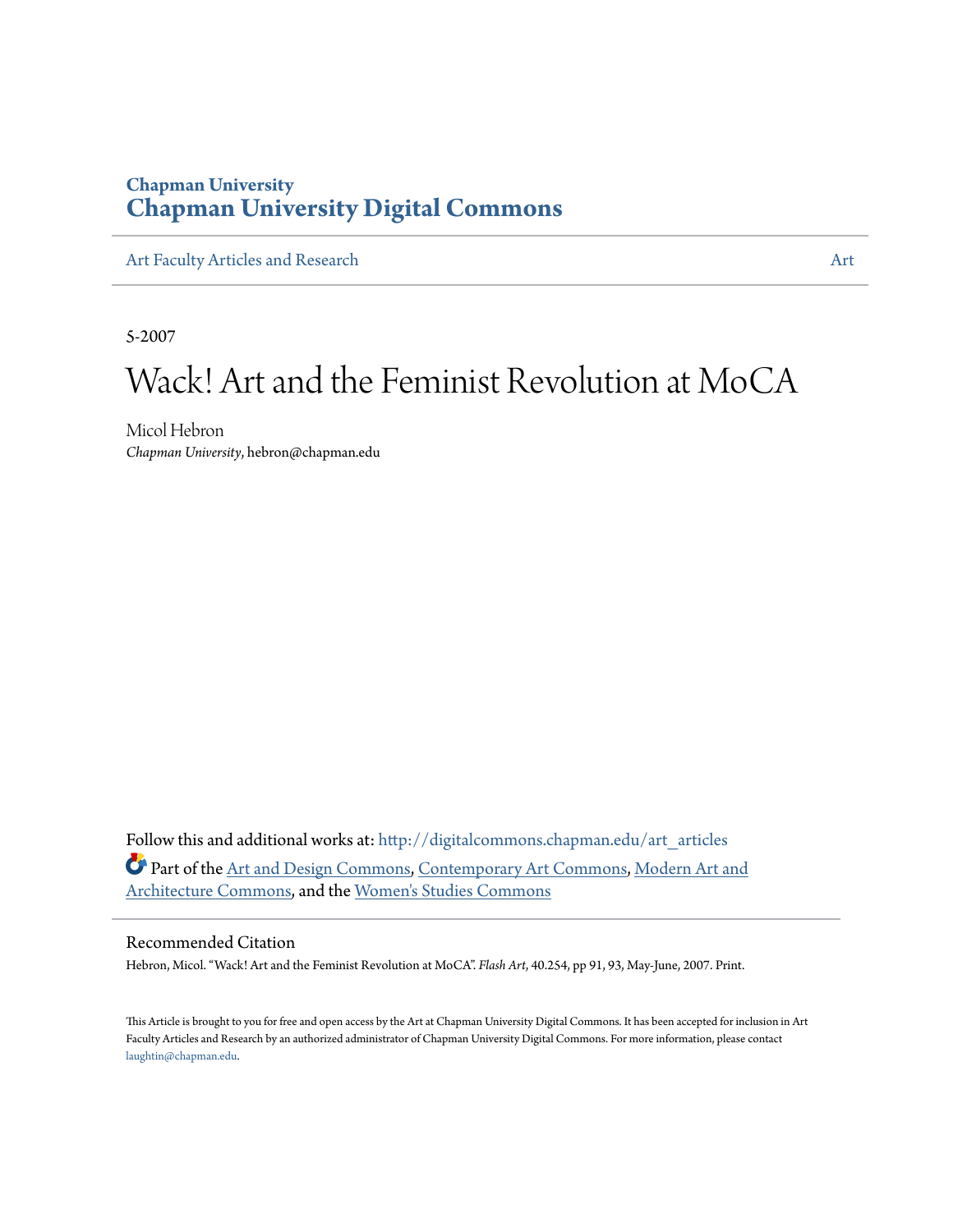### **Chapman University [Chapman University Digital Commons](http://digitalcommons.chapman.edu?utm_source=digitalcommons.chapman.edu%2Fart_articles%2F46&utm_medium=PDF&utm_campaign=PDFCoverPages)**

[Art Faculty Articles and Research](http://digitalcommons.chapman.edu/art_articles?utm_source=digitalcommons.chapman.edu%2Fart_articles%2F46&utm_medium=PDF&utm_campaign=PDFCoverPages) [Art](http://digitalcommons.chapman.edu/art?utm_source=digitalcommons.chapman.edu%2Fart_articles%2F46&utm_medium=PDF&utm_campaign=PDFCoverPages)icles and Research Articles and Articles and Articles and Articles and Articles and Articles and Articles and Articles and Articles and Articles and Articles and Articles and Articles a

5-2007

# Wack! Art and the Feminist Revolution at MoCA

Micol Hebron *Chapman University*, hebron@chapman.edu

Follow this and additional works at: [http://digitalcommons.chapman.edu/art\\_articles](http://digitalcommons.chapman.edu/art_articles?utm_source=digitalcommons.chapman.edu%2Fart_articles%2F46&utm_medium=PDF&utm_campaign=PDFCoverPages) Part of the [Art and Design Commons,](http://network.bepress.com/hgg/discipline/1049?utm_source=digitalcommons.chapman.edu%2Fart_articles%2F46&utm_medium=PDF&utm_campaign=PDFCoverPages) [Contemporary Art Commons](http://network.bepress.com/hgg/discipline/514?utm_source=digitalcommons.chapman.edu%2Fart_articles%2F46&utm_medium=PDF&utm_campaign=PDFCoverPages), [Modern Art and](http://network.bepress.com/hgg/discipline/515?utm_source=digitalcommons.chapman.edu%2Fart_articles%2F46&utm_medium=PDF&utm_campaign=PDFCoverPages) [Architecture Commons](http://network.bepress.com/hgg/discipline/515?utm_source=digitalcommons.chapman.edu%2Fart_articles%2F46&utm_medium=PDF&utm_campaign=PDFCoverPages), and the [Women's Studies Commons](http://network.bepress.com/hgg/discipline/561?utm_source=digitalcommons.chapman.edu%2Fart_articles%2F46&utm_medium=PDF&utm_campaign=PDFCoverPages)

#### Recommended Citation

Hebron, Micol. "Wack! Art and the Feminist Revolution at MoCA". *Flash Art*, 40.254, pp 91, 93, May-June, 2007. Print.

This Article is brought to you for free and open access by the Art at Chapman University Digital Commons. It has been accepted for inclusion in Art Faculty Articles and Research by an authorized administrator of Chapman University Digital Commons. For more information, please contact [laughtin@chapman.edu](mailto:laughtin@chapman.edu).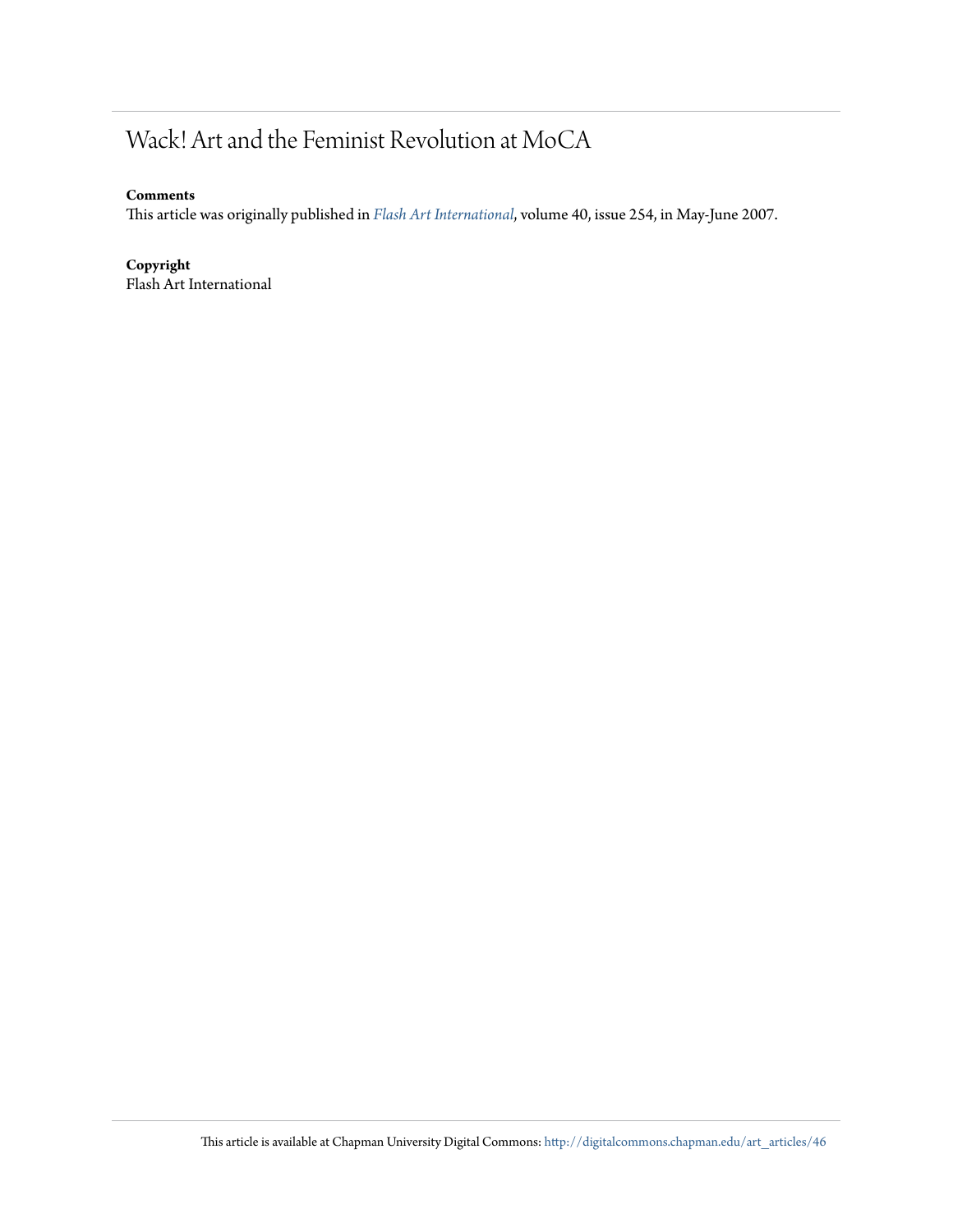# Wack! Art and the Feminist Revolution at MoCA

#### **Comments**

This article was originally published in *[Flash Art International](http://www.flashartonline.com/)*, volume 40, issue 254, in May-June 2007.

#### **Copyright**

Flash Art International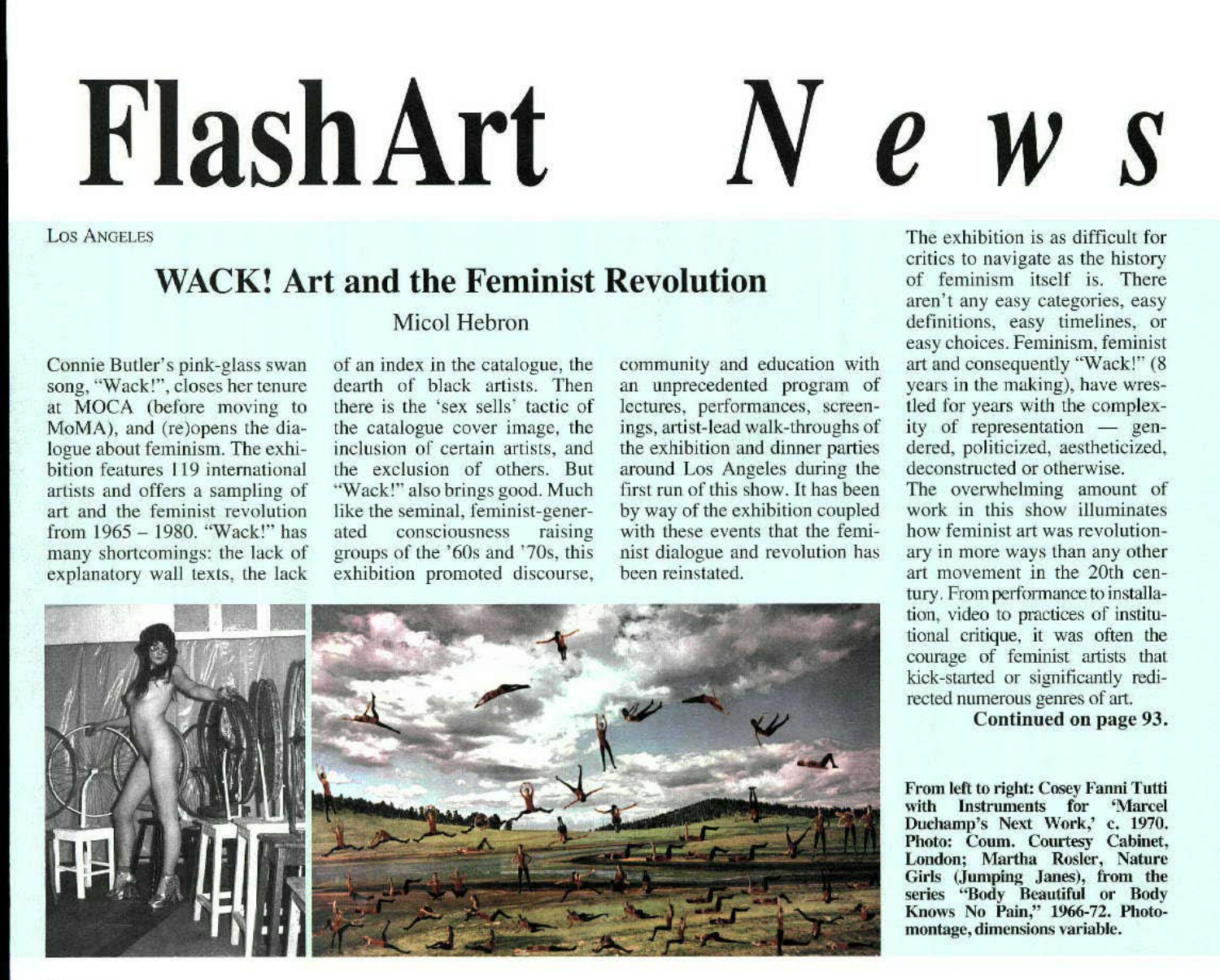# **Flash Art** N *e* **w** *s*

Los Angeles

## **WACK! Art and the Feminist Revolution**

#### Micol Hebron

Connie Butler's pink-glass swan song, "Wack!", closes her tenure at MOCA (before moving to MoMA), and (re)opens the dialogue about feminism. The exhibition features 119 international artists and offers a sampling of art and the feminist revolution from 1965 - 1980. "Wack!" has manv shortcomings: the lack of explanatory wall texts, the lack

of an index in the catalogue, the dearth of black artists. Then there *is* the 'sex sells' tactic of the catalogue cover image, the inclusion of certain artists, and the exclusion of others. But "Wack!" also brings good. Much like the seminal, feminist-generated consciousness raising groups of the '60s and '70s, this exhibition promoted discourse, community and education with an unprecedented program of lectures, performances, screenings, artist-lead walk-throughs of the exhibition and dinner parties around Los Angeles during the first run of this show. It has been by way of the exhibition coupled with these events that the feminist dialogue and revolution has been reinstated.



The exhibition is as difficult for critics to navigate as the history of feminism itself is. There aren't any easy categories, easy definitions, easy timelines, or easy choices. Feminism, feminist art and consequently "Wack!" (8 years in the making), have wrestled for years with the complexity of representation  $-$  gendered, politicized, aestheticized, deconstructed or otherwise. The overwhelming amount of work in this show illuminates

how feminist art was revolutionary in more ways than any other art movement in the 20th century. From performance to installation, video to practices of institutional critique, it was often the courage of feminist artists that kick-started or significantly redirected numerous genres of art.

Continued on page 93.

From left to right: Cosey Fanni Tutti with Instruments for 'Marcel Duchamp's Next Work,' c. 1970. Photo: Coum. Courtesy Cabinet, London; Martha Rosler, Nature<br>Girls (Jumping Janes), from the<br>series ''Body Beautiful or Body Knows No Pain," 1966-72. Photo- montage, dimensions variable.